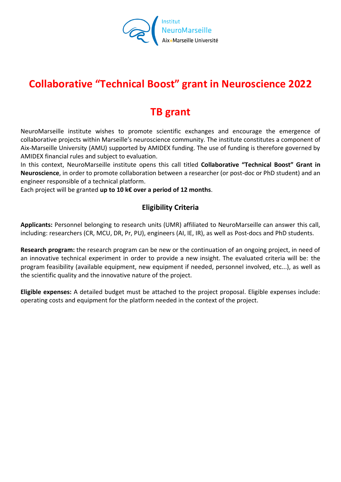

# **Collaborative "Technical Boost" grant in Neuroscience 2022**

## **TB grant**

NeuroMarseille institute wishes to promote scientific exchanges and encourage the emergence of collaborative projects within Marseille's neuroscience community. The institute constitutes a component of Aix-Marseille University (AMU) supported by AMIDEX funding. The use of funding is therefore governed by AMIDEX financial rules and subject to evaluation.

In this context, NeuroMarseille institute opens this call titled **Collaborative "Technical Boost" Grant in Neuroscience**, in order to promote collaboration between a researcher (or post-doc or PhD student) and an engineer responsible of a technical platform.

Each project will be granted **up to 10 k€ over a period of 12 months**.

### **Eligibility Criteria**

**Applicants:** Personnel belonging to research units (UMR) affiliated to NeuroMarseille can answer this call, including: researchers (CR, MCU, DR, Pr, PU), engineers (AI, IE, IR), as well as Post-docs and PhD students.

**Research program:** the research program can be new or the continuation of an ongoing project, in need of an innovative technical experiment in order to provide a new insight. The evaluated criteria will be: the program feasibility (available equipment, new equipment if needed, personnel involved, etc...), as well as the scientific quality and the innovative nature of the project.

**Eligible expenses:** A detailed budget must be attached to the project proposal. Eligible expenses include: operating costs and equipment for the platform needed in the context of the project.